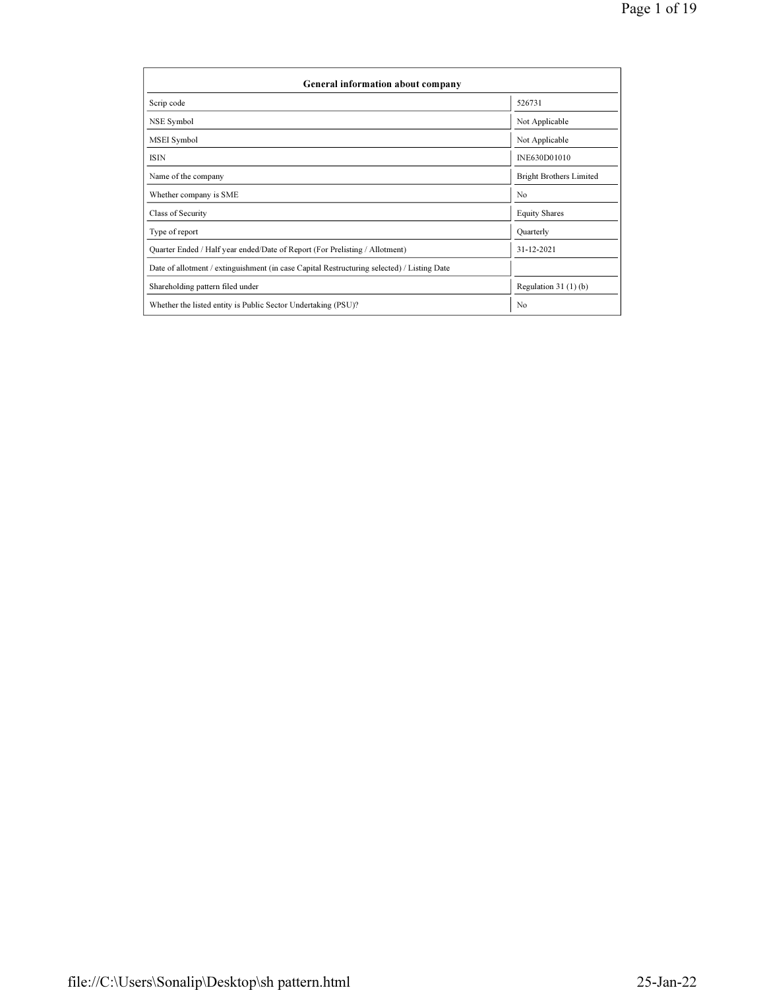| General information about company                                                          |                                |
|--------------------------------------------------------------------------------------------|--------------------------------|
| Scrip code                                                                                 | 526731                         |
| NSE Symbol                                                                                 | Not Applicable                 |
| <b>MSEI</b> Symbol                                                                         | Not Applicable                 |
| ISIN                                                                                       | INE630D01010                   |
| Name of the company                                                                        | <b>Bright Brothers Limited</b> |
| Whether company is SME                                                                     | No                             |
| Class of Security                                                                          | <b>Equity Shares</b>           |
| Type of report                                                                             | Quarterly                      |
| Quarter Ended / Half year ended/Date of Report (For Prelisting / Allotment)                | 31-12-2021                     |
| Date of allotment / extinguishment (in case Capital Restructuring selected) / Listing Date |                                |
| Shareholding pattern filed under                                                           | Regulation $31(1)(b)$          |
| Whether the listed entity is Public Sector Undertaking (PSU)?                              | No                             |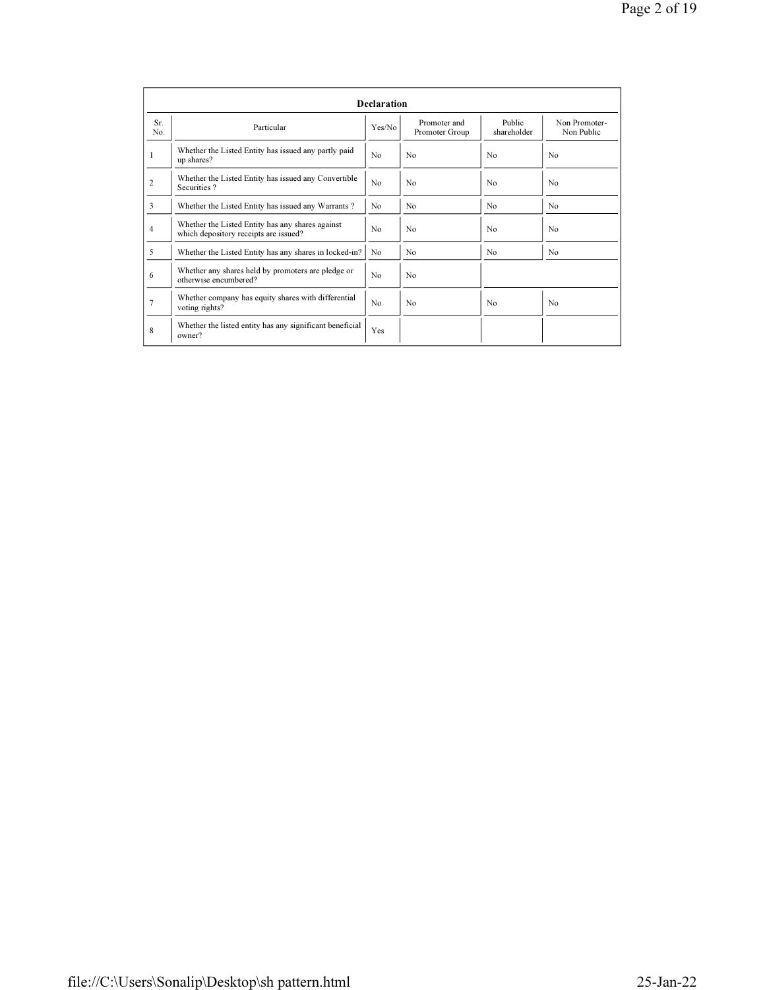|                |                                                                                           | <b>Declaration</b> |                                |                       |                             |
|----------------|-------------------------------------------------------------------------------------------|--------------------|--------------------------------|-----------------------|-----------------------------|
| Sr.<br>No.     | Particular                                                                                | Yes/No             | Promoter and<br>Promoter Group | Public<br>shareholder | Non Promoter-<br>Non Public |
|                | Whether the Listed Entity has issued any partly paid<br>up shares?                        | No                 | No                             | No                    | No                          |
| $\overline{2}$ | Whether the Listed Entity has issued any Convertible<br>Securities?                       | No                 | No                             | No                    | No                          |
| 3              | Whether the Listed Entity has issued any Warrants?                                        | No                 | N <sub>o</sub>                 | No                    | No                          |
| $\overline{4}$ | Whether the Listed Entity has any shares against<br>which depository receipts are issued? | No                 | No                             | No                    | No                          |
| 5              | Whether the Listed Entity has any shares in locked-in?                                    | No                 | N <sub>0</sub>                 | No                    | No                          |
| 6              | Whether any shares held by promoters are pledge or<br>otherwise encumbered?               | No                 | No                             |                       |                             |
| 7              | Whether company has equity shares with differential<br>voting rights?                     | No                 | No                             | No                    | No                          |
| 8              | Whether the listed entity has any significant beneficial<br>owner?                        | Yes                |                                |                       |                             |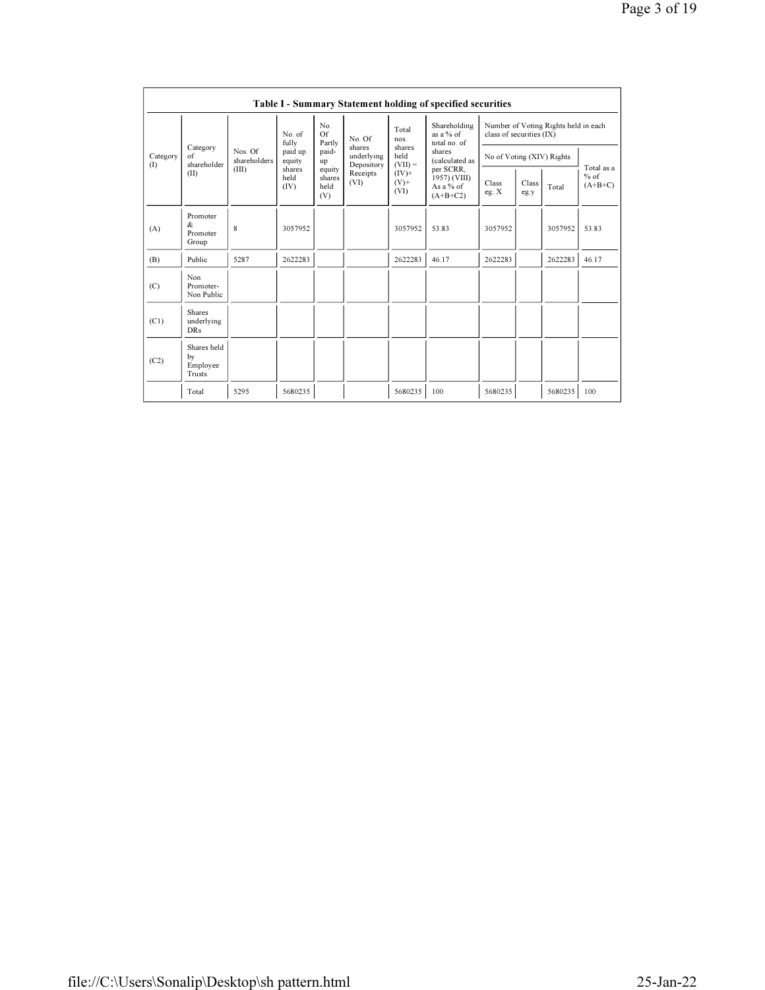|                 |                                         |                         |                        |                                 |                                    |                             | Table I - Summary Statement holding of specified securities |                           |               |                                      |                                   |
|-----------------|-----------------------------------------|-------------------------|------------------------|---------------------------------|------------------------------------|-----------------------------|-------------------------------------------------------------|---------------------------|---------------|--------------------------------------|-----------------------------------|
|                 |                                         |                         | No. of<br>fully        | No.<br>Of<br>Partly             | No Of                              | Total<br>nos                | Shareholding<br>as $a\%$ of<br>total no. of                 | class of securities (IX)  |               | Number of Voting Rights held in each |                                   |
| Category<br>(I) | Category<br>$\alpha$ f<br>shareholder   | Nos. Of<br>shareholders | paid up<br>equity      | paid-<br>up                     | shares<br>underlying<br>Depository | shares<br>held<br>$(VII) =$ | shares<br>(calculated as                                    | No of Voting (XIV) Rights |               |                                      |                                   |
|                 | (II)                                    | (III)                   | shares<br>held<br>(IV) | equity<br>shares<br>held<br>(V) | Receipts<br>(VI)                   | $(IV)$ +<br>$(V)$ +<br>(VI) | per SCRR.<br>1957) (VIII)<br>As a $%$ of<br>$(A+B+C2)$      | Class<br>eg: $X$          | Class<br>eg:y | Total                                | Total as a<br>$%$ of<br>$(A+B+C)$ |
| (A)             | Promoter<br>&<br>Promoter<br>Group      | 8                       | 3057952                |                                 |                                    | 3057952                     | 53.83                                                       | 3057952                   |               | 3057952                              | 53.83                             |
| (B)             | Public                                  | 5287                    | 2622283                |                                 |                                    | 2622283                     | 46.17                                                       | 2622283                   |               | 2622283                              | 46.17                             |
| (C)             | Non<br>Promoter-<br>Non Public          |                         |                        |                                 |                                    |                             |                                                             |                           |               |                                      |                                   |
| (C1)            | Shares<br>underlying<br><b>DRs</b>      |                         |                        |                                 |                                    |                             |                                                             |                           |               |                                      |                                   |
| (C2)            | Shares held<br>by<br>Employee<br>Trusts |                         |                        |                                 |                                    |                             |                                                             |                           |               |                                      |                                   |
|                 | Total                                   | 5295                    | 5680235                |                                 |                                    | 5680235                     | 100                                                         | 5680235                   |               | 5680235                              | 100                               |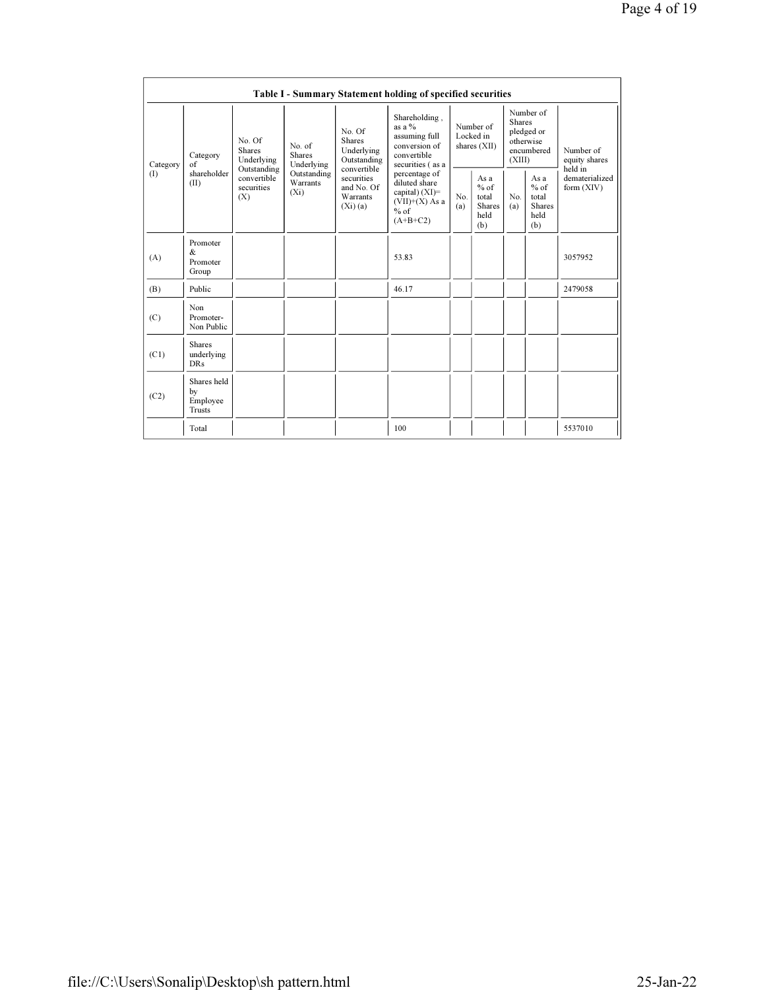|          |                                           |                                                 |                                       |                                                                     | Table I - Summary Statement holding of specified securities                                     |            |                                                  |                         |                                                    |                                       |
|----------|-------------------------------------------|-------------------------------------------------|---------------------------------------|---------------------------------------------------------------------|-------------------------------------------------------------------------------------------------|------------|--------------------------------------------------|-------------------------|----------------------------------------------------|---------------------------------------|
| Category | Category<br>$\alpha$ f                    | No. Of<br><b>Shares</b><br>Underlying           | No. of<br><b>Shares</b><br>Underlying | No. Of<br><b>Shares</b><br>Underlying<br>Outstanding<br>convertible | Shareholding,<br>as a $%$<br>assuming full<br>conversion of<br>convertible<br>securities (as a  |            | Number of<br>Locked in<br>shares (XII)           | <b>Shares</b><br>(XIII) | Number of<br>pledged or<br>otherwise<br>encumbered | Number of<br>equity shares<br>held in |
| (I)      | shareholder<br>(II)                       | Outstanding<br>convertible<br>securities<br>(X) | Outstanding<br>Warrants<br>$(X_i)$    | securities<br>and No. Of<br>Warrants<br>(Xi)(a)                     | percentage of<br>diluted share<br>capital) $(XI)$ =<br>$(VII)+(X)$ As a<br>$%$ of<br>$(A+B+C2)$ | No.<br>(a) | As a<br>$%$ of<br>total<br>Shares<br>held<br>(b) | No.<br>(a)              | As a<br>$%$ of<br>total<br>Shares<br>held<br>(b)   | dematerialized<br>form $(XIV)$        |
| (A)      | Promoter<br>&.<br>Promoter<br>Group       |                                                 |                                       |                                                                     | 53.83                                                                                           |            |                                                  |                         |                                                    | 3057952                               |
| (B)      | Public                                    |                                                 |                                       |                                                                     | 46.17                                                                                           |            |                                                  |                         |                                                    | 2479058                               |
| (C)      | Non<br>Promoter-<br>Non Public            |                                                 |                                       |                                                                     |                                                                                                 |            |                                                  |                         |                                                    |                                       |
| (C1)     | <b>Shares</b><br>underlying<br><b>DRs</b> |                                                 |                                       |                                                                     |                                                                                                 |            |                                                  |                         |                                                    |                                       |
| (C2)     | Shares held<br>by<br>Employee<br>Trusts   |                                                 |                                       |                                                                     |                                                                                                 |            |                                                  |                         |                                                    |                                       |
|          | Total                                     |                                                 |                                       |                                                                     | 100                                                                                             |            |                                                  |                         |                                                    | 5537010                               |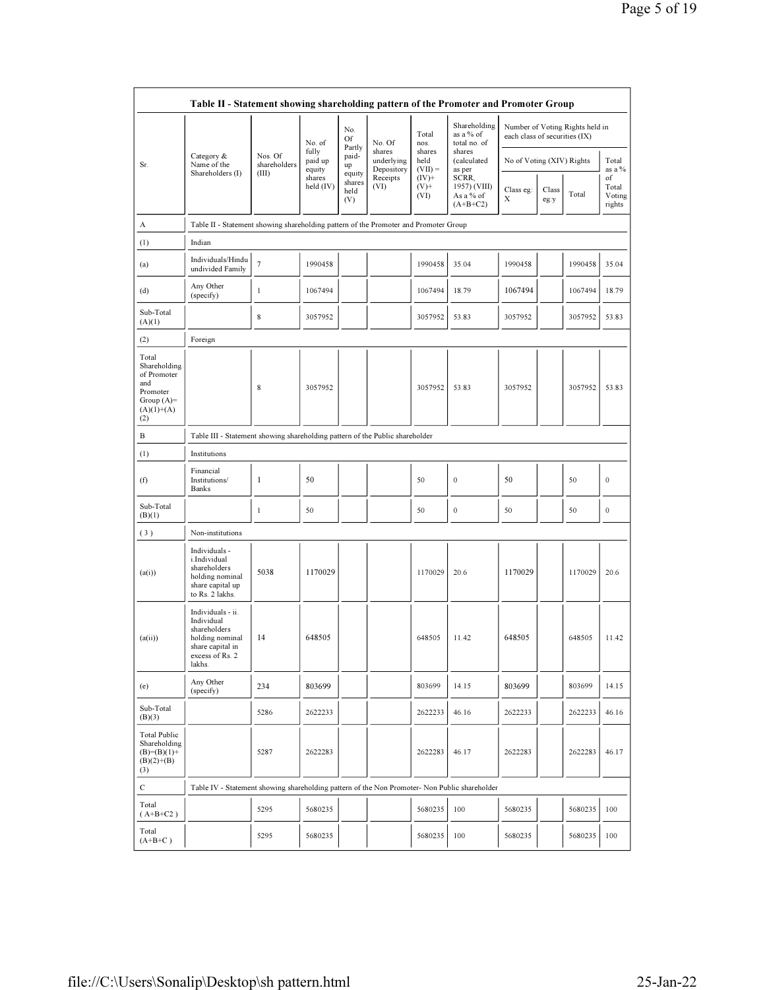|                                                                                                | Table II - Statement showing shareholding pattern of the Promoter and Promoter Group                                |                                  |                            |                                 |                                    |                             |                                                  |                               |               |                                 |                                 |
|------------------------------------------------------------------------------------------------|---------------------------------------------------------------------------------------------------------------------|----------------------------------|----------------------------|---------------------------------|------------------------------------|-----------------------------|--------------------------------------------------|-------------------------------|---------------|---------------------------------|---------------------------------|
|                                                                                                |                                                                                                                     |                                  | No. of                     | No.<br>Of                       | No. Of                             | Total<br>nos.               | Shareholding<br>as a % of<br>total no. of        | each class of securities (IX) |               | Number of Voting Rights held in |                                 |
| Sr.                                                                                            | Category &<br>Name of the<br>Shareholders (I)                                                                       | Nos. Of<br>shareholders<br>(III) | fully<br>paid up<br>equity | Partly<br>paid-<br>up           | shares<br>underlying<br>Depository | shares<br>held<br>$(VII) =$ | shares<br>(calculated<br>as per                  | No of Voting (XIV) Rights     |               |                                 | Total<br>as a %                 |
|                                                                                                |                                                                                                                     |                                  | shares<br>held $(IV)$      | equity<br>shares<br>held<br>(V) | Receipts<br>(VI)                   | $(IV)$ +<br>$(V)$ +<br>(VI) | SCRR,<br>1957) (VIII)<br>As a % of<br>$(A+B+C2)$ | Class eg:<br>Х                | Class<br>eg:y | Total                           | of<br>Total<br>Voting<br>rights |
| A                                                                                              | Table II - Statement showing shareholding pattern of the Promoter and Promoter Group                                |                                  |                            |                                 |                                    |                             |                                                  |                               |               |                                 |                                 |
| (1)                                                                                            | Indian                                                                                                              |                                  |                            |                                 |                                    |                             |                                                  |                               |               |                                 |                                 |
| (a)                                                                                            | Individuals/Hindu<br>undivided Family                                                                               | $\tau$                           | 1990458                    |                                 |                                    | 1990458                     | 35.04                                            | 1990458                       |               | 1990458                         | 35.04                           |
| (d)                                                                                            | Any Other<br>(specify)                                                                                              | $\mathbf{1}$                     | 1067494                    |                                 |                                    | 1067494                     | 18.79                                            | 1067494                       |               | 1067494                         | 18.79                           |
| Sub-Total<br>(A)(1)                                                                            |                                                                                                                     | 8                                | 3057952                    |                                 |                                    | 3057952                     | 53.83                                            | 3057952                       |               | 3057952                         | 53.83                           |
| (2)                                                                                            | Foreign                                                                                                             |                                  |                            |                                 |                                    |                             |                                                  |                               |               |                                 |                                 |
| Total<br>Shareholding<br>of Promoter<br>and<br>Promoter<br>Group $(A)=$<br>$(A)(1)+(A)$<br>(2) |                                                                                                                     | 8                                | 3057952                    |                                 |                                    | 3057952                     | 53.83                                            | 3057952                       |               | 3057952                         | 53.83                           |
| В                                                                                              | Table III - Statement showing shareholding pattern of the Public shareholder                                        |                                  |                            |                                 |                                    |                             |                                                  |                               |               |                                 |                                 |
| (1)                                                                                            | Institutions                                                                                                        |                                  |                            |                                 |                                    |                             |                                                  |                               |               |                                 |                                 |
| (f)                                                                                            | Financial<br>Institutions/<br><b>Banks</b>                                                                          | 1                                | 50                         |                                 |                                    | 50                          | $\bf{0}$                                         | 50                            |               | 50                              | $\bf{0}$                        |
| Sub-Total<br>(B)(1)                                                                            |                                                                                                                     | $\mathbf{1}$                     | 50                         |                                 |                                    | 50                          | $\boldsymbol{0}$                                 | 50                            |               | 50                              | $\mathbf{0}$                    |
| (3)                                                                                            | Non-institutions                                                                                                    |                                  |                            |                                 |                                    |                             |                                                  |                               |               |                                 |                                 |
| (a(i))                                                                                         | Individuals -<br>i.Individual<br>shareholders<br>holding nominal<br>share capital up<br>to Rs. 2 lakhs.             | 5038                             | 1170029                    |                                 |                                    | 1170029                     | 20.6                                             | 1170029                       |               | 1170029                         | 20.6                            |
| (a(ii))                                                                                        | Individuals - ii.<br>Individual<br>shareholders<br>holding nominal<br>share capital in<br>excess of Rs. 2<br>lakhs. | 14                               | 648505                     |                                 |                                    | 648505                      | 11.42                                            | 648505                        |               | 648505                          | 11.42                           |
| (e)                                                                                            | Any Other<br>(specify)                                                                                              | 234                              | 803699                     |                                 |                                    | 803699                      | 14.15                                            | 803699                        |               | 803699                          | 14.15                           |
| Sub-Total<br>(B)(3)                                                                            |                                                                                                                     | 5286                             | 2622233                    |                                 |                                    | 2622233                     | 46.16                                            | 2622233                       |               | 2622233                         | 46.16                           |
| Total Public<br>Shareholding<br>$(B)=(B)(1)+$<br>$(B)(2)+(B)$<br>(3)                           |                                                                                                                     | 5287                             | 2622283                    |                                 |                                    | 2622283                     | 46.17                                            | 2622283                       |               | 2622283                         | 46.17                           |
| C                                                                                              | Table IV - Statement showing shareholding pattern of the Non Promoter- Non Public shareholder                       |                                  |                            |                                 |                                    |                             |                                                  |                               |               |                                 |                                 |
| Total<br>$(A+B+C2)$                                                                            |                                                                                                                     | 5295                             | 5680235                    |                                 |                                    | 5680235                     | 100                                              | 5680235                       |               | 5680235                         | 100                             |
| Total<br>$(A+B+C)$                                                                             |                                                                                                                     | 5295                             | 5680235                    |                                 |                                    | 5680235                     | 100                                              | 5680235                       |               | 5680235                         | 100                             |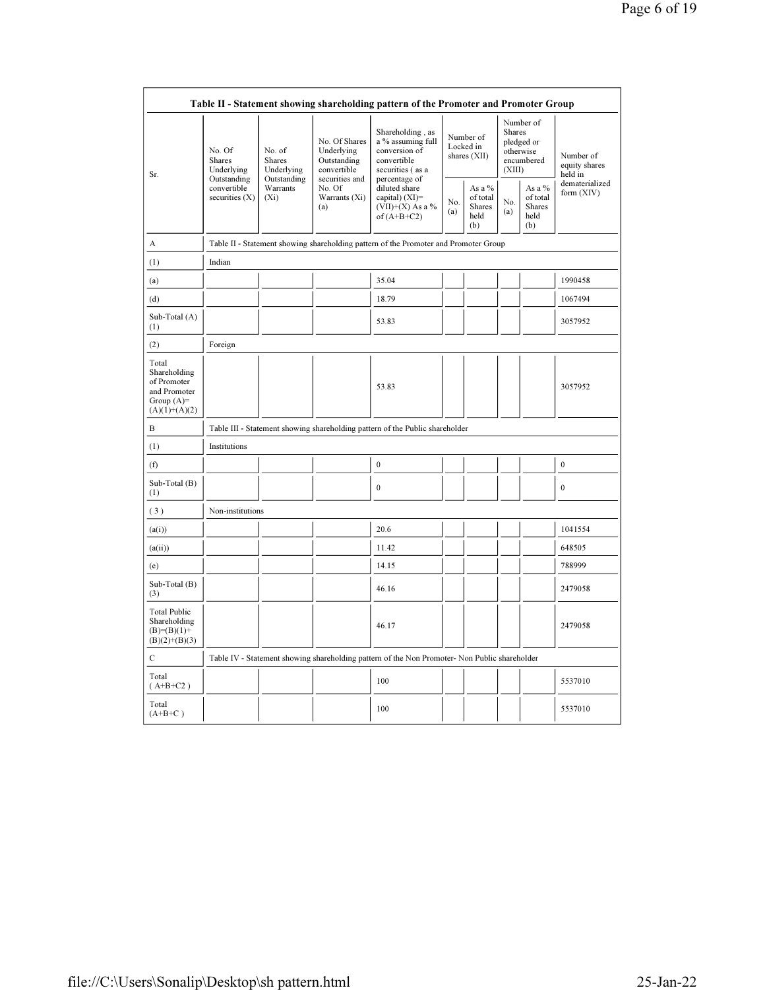|                                                                                         |                                               |                                               |                                                                             | Table II - Statement showing shareholding pattern of the Promoter and Promoter Group                       |            |                                             |                  |                                                    |                                       |
|-----------------------------------------------------------------------------------------|-----------------------------------------------|-----------------------------------------------|-----------------------------------------------------------------------------|------------------------------------------------------------------------------------------------------------|------------|---------------------------------------------|------------------|----------------------------------------------------|---------------------------------------|
| Sr.                                                                                     | No. Of<br>Shares<br>Underlying<br>Outstanding | No. of<br>Shares<br>Underlying<br>Outstanding | No. Of Shares<br>Underlying<br>Outstanding<br>convertible<br>securities and | Shareholding, as<br>a % assuming full<br>conversion of<br>convertible<br>securities (as a<br>percentage of |            | Number of<br>Locked in<br>shares (XII)      | Shares<br>(XIII) | Number of<br>pledged or<br>otherwise<br>encumbered | Number of<br>equity shares<br>held in |
|                                                                                         | convertible<br>securities $(X)$               | Warrants<br>$(X_i)$                           | No. Of<br>Warrants (Xi)<br>(a)                                              | diluted share<br>capital) (XI)=<br>$(VII)+(X)$ As a %<br>of $(A+B+C2)$                                     | No.<br>(a) | As a %<br>of total<br>Shares<br>held<br>(b) | No.<br>(a)       | As a %<br>of total<br>Shares<br>held<br>(b)        | dematerialized<br>form (XIV)          |
| А                                                                                       |                                               |                                               |                                                                             | Table II - Statement showing shareholding pattern of the Promoter and Promoter Group                       |            |                                             |                  |                                                    |                                       |
| (1)                                                                                     | Indian                                        |                                               |                                                                             |                                                                                                            |            |                                             |                  |                                                    |                                       |
| (a)                                                                                     |                                               |                                               |                                                                             | 35.04                                                                                                      |            |                                             |                  |                                                    | 1990458                               |
| (d)                                                                                     |                                               |                                               |                                                                             | 18.79                                                                                                      |            |                                             |                  |                                                    | 1067494                               |
| Sub-Total (A)<br>(1)                                                                    |                                               |                                               |                                                                             | 53.83                                                                                                      |            |                                             |                  |                                                    | 3057952                               |
| (2)                                                                                     | Foreign                                       |                                               |                                                                             |                                                                                                            |            |                                             |                  |                                                    |                                       |
| Total<br>Shareholding<br>of Promoter<br>and Promoter<br>Group $(A)=$<br>$(A)(1)+(A)(2)$ |                                               |                                               |                                                                             | 53.83                                                                                                      |            |                                             |                  |                                                    | 3057952                               |
| B                                                                                       |                                               |                                               |                                                                             | Table III - Statement showing shareholding pattern of the Public shareholder                               |            |                                             |                  |                                                    |                                       |
| (1)                                                                                     | Institutions                                  |                                               |                                                                             |                                                                                                            |            |                                             |                  |                                                    |                                       |
| (f)                                                                                     |                                               |                                               |                                                                             | $\boldsymbol{0}$                                                                                           |            |                                             |                  |                                                    | $\boldsymbol{0}$                      |
| Sub-Total (B)<br>(1)                                                                    |                                               |                                               |                                                                             | $\mathbf{0}$                                                                                               |            |                                             |                  |                                                    | $\mathbf{0}$                          |
| (3)                                                                                     | Non-institutions                              |                                               |                                                                             |                                                                                                            |            |                                             |                  |                                                    |                                       |
| (a(i))                                                                                  |                                               |                                               |                                                                             | 20.6                                                                                                       |            |                                             |                  |                                                    | 1041554                               |
| (a(ii))                                                                                 |                                               |                                               |                                                                             | 11.42                                                                                                      |            |                                             |                  |                                                    | 648505                                |
| (e)                                                                                     |                                               |                                               |                                                                             | 14.15                                                                                                      |            |                                             |                  |                                                    | 788999                                |
| Sub-Total (B)<br>(3)                                                                    |                                               |                                               |                                                                             | 46.16                                                                                                      |            |                                             |                  |                                                    | 2479058                               |
| <b>Total Public</b><br>Shareholding<br>$(B)=(B)(1)$ +<br>$(B)(2)+(B)(3)$                |                                               |                                               |                                                                             | 46.17                                                                                                      |            |                                             |                  |                                                    | 2479058                               |
| $\mathcal{C}$                                                                           |                                               |                                               |                                                                             | Table IV - Statement showing shareholding pattern of the Non Promoter- Non Public shareholder              |            |                                             |                  |                                                    |                                       |
| Total<br>$(A+B+C2)$                                                                     |                                               |                                               |                                                                             | 100                                                                                                        |            |                                             |                  |                                                    | 5537010                               |
| Total<br>$(A+B+C)$                                                                      |                                               |                                               |                                                                             | 100                                                                                                        |            |                                             |                  |                                                    | 5537010                               |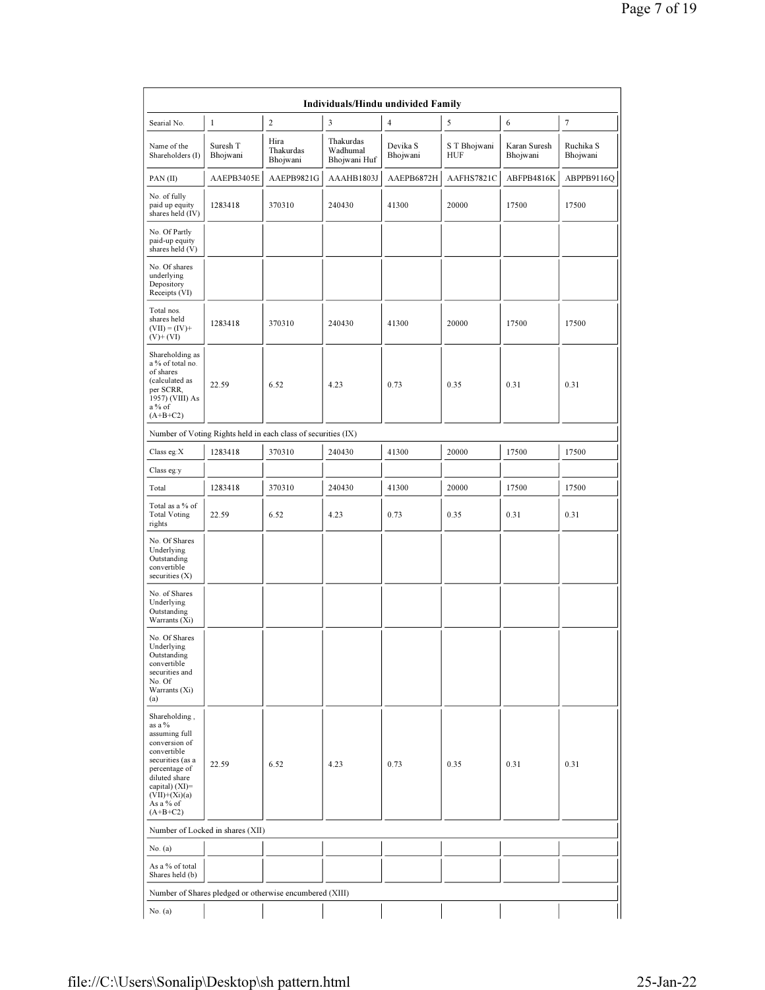|                                                                                                                                                                                                |                                  |                                                               |                                       | Individuals/Hindu undivided Family |                     |                          |                       |
|------------------------------------------------------------------------------------------------------------------------------------------------------------------------------------------------|----------------------------------|---------------------------------------------------------------|---------------------------------------|------------------------------------|---------------------|--------------------------|-----------------------|
| Searial No.                                                                                                                                                                                    | $\mathbf{1}$                     | $\overline{c}$                                                | 3                                     | $\overline{4}$                     | 5                   | 6                        | $\tau$                |
| Name of the<br>Shareholders (I)                                                                                                                                                                | Suresh T<br>Bhojwani             | Hira<br>Thakurdas<br>Bhojwani                                 | Thakurdas<br>Wadhumal<br>Bhojwani Huf | Devika S<br>Bhojwani               | S T Bhojwani<br>HUF | Karan Suresh<br>Bhojwani | Ruchika S<br>Bhojwani |
| PAN(II)                                                                                                                                                                                        | AAEPB3405E                       | AAEPB9821G                                                    | AAAHB1803J                            | AAEPB6872H                         | AAFHS7821C          | ABFPB4816K               | ABPPB9116Q            |
| No. of fully<br>paid up equity<br>shares held (IV)                                                                                                                                             | 1283418                          | 370310                                                        | 240430                                | 41300                              | 20000               | 17500                    | 17500                 |
| No. Of Partly<br>paid-up equity<br>shares held (V)                                                                                                                                             |                                  |                                                               |                                       |                                    |                     |                          |                       |
| No. Of shares<br>underlying<br>Depository<br>Receipts (VI)                                                                                                                                     |                                  |                                                               |                                       |                                    |                     |                          |                       |
| Total nos.<br>shares held<br>$(VII) = (IV) +$<br>$(V)+(VI)$                                                                                                                                    | 1283418                          | 370310                                                        | 240430                                | 41300                              | 20000               | 17500                    | 17500                 |
| Shareholding as<br>a % of total no.<br>of shares<br>(calculated as<br>per SCRR,<br>1957) (VIII) As<br>a% of<br>$(A+B+C2)$                                                                      | 22.59                            | 6.52                                                          | 4.23                                  | 0.73                               | 0.35                | 0.31                     | 0.31                  |
|                                                                                                                                                                                                |                                  | Number of Voting Rights held in each class of securities (IX) |                                       |                                    |                     |                          |                       |
| Class eg: $X$                                                                                                                                                                                  | 1283418                          | 370310                                                        | 240430                                | 41300                              | 20000               | 17500                    | 17500                 |
| Class eg:y                                                                                                                                                                                     |                                  |                                                               |                                       |                                    |                     |                          |                       |
| Total                                                                                                                                                                                          | 1283418                          | 370310                                                        | 240430                                | 41300                              | 20000               | 17500                    | 17500                 |
| Total as a % of<br><b>Total Voting</b><br>rights                                                                                                                                               | 22.59                            | 6.52                                                          | 4.23                                  | 0.73                               | 0.35                | 0.31                     | 0.31                  |
| No. Of Shares<br>Underlying<br>Outstanding<br>convertible<br>securities $(X)$                                                                                                                  |                                  |                                                               |                                       |                                    |                     |                          |                       |
| No. of Shares<br>Underlying<br>Outstanding<br>Warrants (Xi)                                                                                                                                    |                                  |                                                               |                                       |                                    |                     |                          |                       |
| No. Of Shares<br>Underlying<br>Outstanding<br>convertible<br>securities and<br>No. Of<br>Warrants (Xi)<br>(a)                                                                                  |                                  |                                                               |                                       |                                    |                     |                          |                       |
| Shareholding,<br>as a %<br>assuming full<br>conversion of<br>convertible<br>securities (as a<br>percentage of<br>diluted share<br>capital) (XI)=<br>$(VII)+(Xi)(a)$<br>As a % of<br>$(A+B+C2)$ | 22.59                            | 6.52                                                          | 4.23                                  | 0.73                               | 0.35                | 0.31                     | 0.31                  |
|                                                                                                                                                                                                | Number of Locked in shares (XII) |                                                               |                                       |                                    |                     |                          |                       |
| No. $(a)$                                                                                                                                                                                      |                                  |                                                               |                                       |                                    |                     |                          |                       |
| As a % of total<br>Shares held (b)                                                                                                                                                             |                                  |                                                               |                                       |                                    |                     |                          |                       |
|                                                                                                                                                                                                |                                  | Number of Shares pledged or otherwise encumbered (XIII)       |                                       |                                    |                     |                          |                       |
| No. $(a)$                                                                                                                                                                                      |                                  |                                                               |                                       |                                    |                     |                          |                       |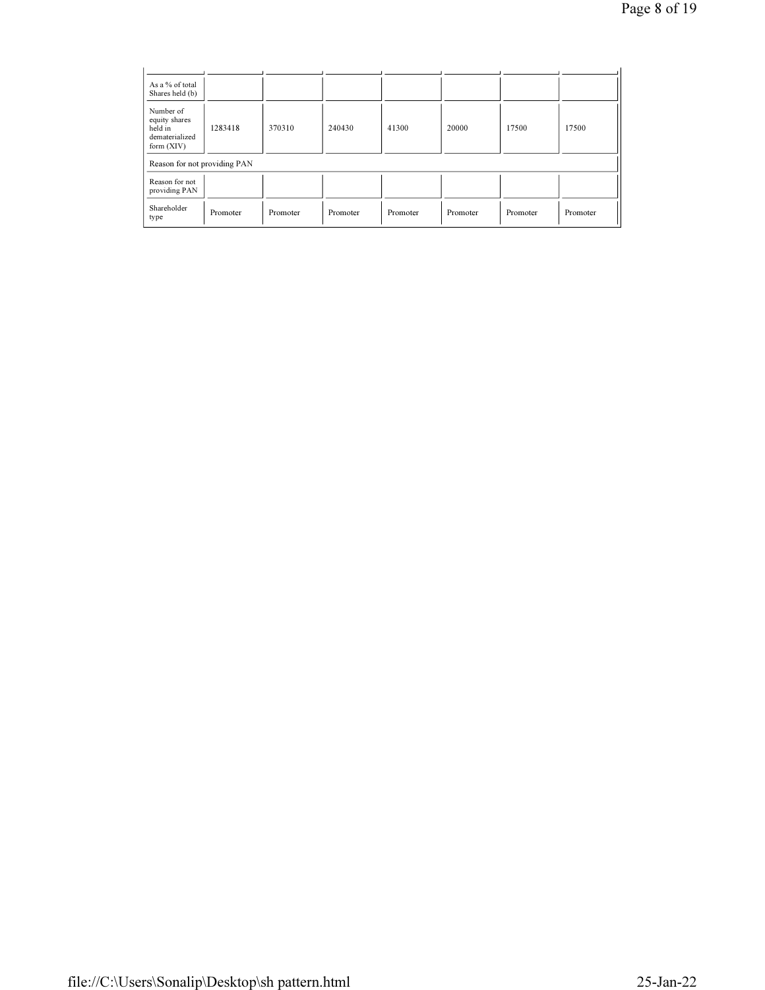| As a % of total<br>Shares held (b)                                      |          |          |          |          |          |          |          |
|-------------------------------------------------------------------------|----------|----------|----------|----------|----------|----------|----------|
| Number of<br>equity shares<br>held in<br>dematerialized<br>form $(XIV)$ | 1283418  | 370310   | 240430   | 41300    | 20000    | 17500    | 17500    |
| Reason for not providing PAN                                            |          |          |          |          |          |          |          |
| Reason for not<br>providing PAN                                         |          |          |          |          |          |          |          |
| Shareholder<br>type                                                     | Promoter | Promoter | Promoter | Promoter | Promoter | Promoter | Promoter |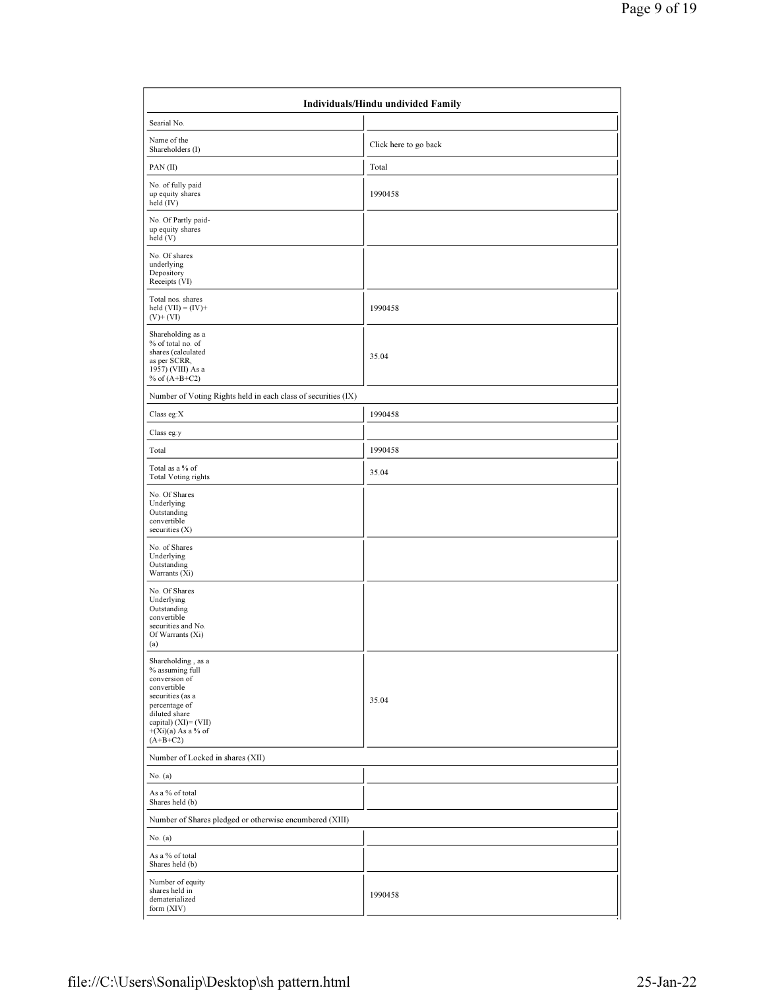|                                                                                                                                                                                           | Individuals/Hindu undivided Family |
|-------------------------------------------------------------------------------------------------------------------------------------------------------------------------------------------|------------------------------------|
| Searial No.                                                                                                                                                                               |                                    |
| Name of the<br>Shareholders (I)                                                                                                                                                           | Click here to go back              |
| PAN(II)                                                                                                                                                                                   | Total                              |
| No. of fully paid<br>up equity shares<br>held (IV)                                                                                                                                        | 1990458                            |
| No. Of Partly paid-<br>up equity shares<br>held (V)                                                                                                                                       |                                    |
| No. Of shares<br>underlying<br>Depository<br>Receipts (VI)                                                                                                                                |                                    |
| Total nos. shares<br>held $(VII) = (IV) +$<br>$(V)+(VI)$                                                                                                                                  | 1990458                            |
| Shareholding as a<br>% of total no. of<br>shares (calculated<br>as per SCRR,<br>1957) (VIII) As a<br>% of $(A+B+C2)$                                                                      | 35.04                              |
| Number of Voting Rights held in each class of securities (IX)                                                                                                                             |                                    |
| Class eg: $X$                                                                                                                                                                             | 1990458                            |
| Class eg:y                                                                                                                                                                                |                                    |
| Total                                                                                                                                                                                     | 1990458                            |
| Total as a % of<br>Total Voting rights                                                                                                                                                    | 35.04                              |
| No. Of Shares<br>Underlying<br>Outstanding<br>convertible<br>securities $(X)$                                                                                                             |                                    |
| No. of Shares<br>Underlying<br>Outstanding<br>Warrants (Xi)                                                                                                                               |                                    |
| No. Of Shares<br>Underlying<br>Outstanding<br>convertible<br>securities and No.<br>Of Warrants (Xi)<br>(a)                                                                                |                                    |
| Shareholding, as a<br>% assuming full<br>conversion of<br>convertible<br>securities (as a<br>percentage of<br>diluted share<br>capital) (XI)= (VII)<br>$+(Xi)(a)$ As a % of<br>$(A+B+C2)$ | 35.04                              |
| Number of Locked in shares (XII)                                                                                                                                                          |                                    |
| No. (a)                                                                                                                                                                                   |                                    |
| As a % of total<br>Shares held (b)                                                                                                                                                        |                                    |
| Number of Shares pledged or otherwise encumbered (XIII)                                                                                                                                   |                                    |
| No. $(a)$                                                                                                                                                                                 |                                    |
| As a % of total<br>Shares held (b)                                                                                                                                                        |                                    |
| Number of equity<br>shares held in<br>dematerialized<br>form (XIV)                                                                                                                        | 1990458                            |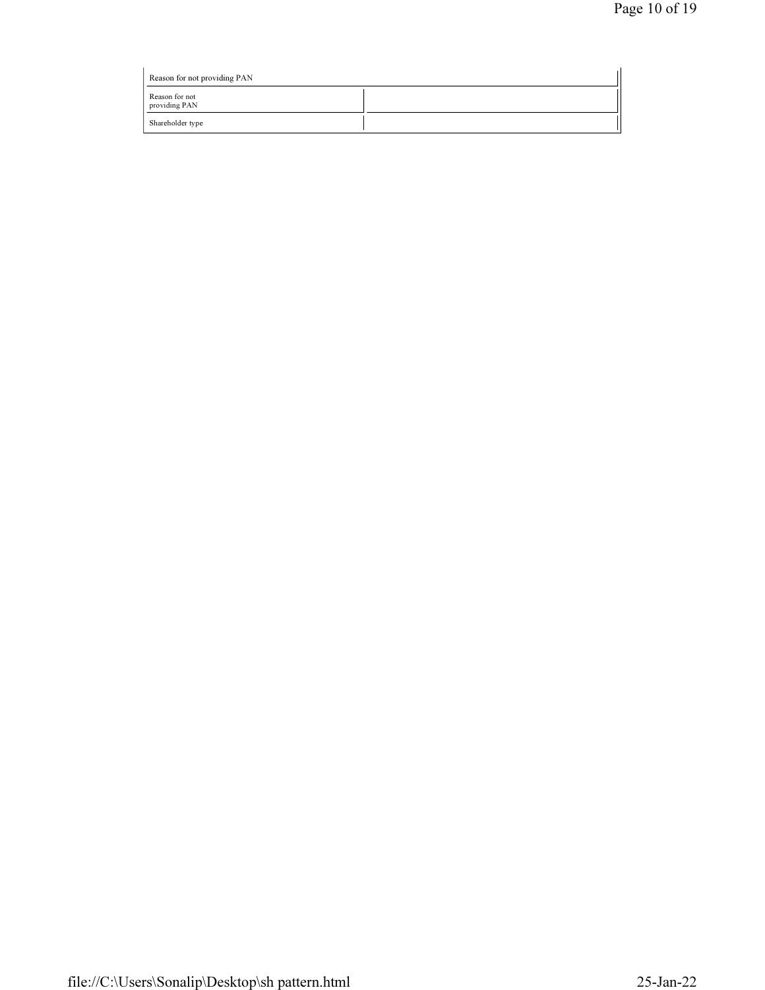| Reason for not providing PAN    |  |
|---------------------------------|--|
| Reason for not<br>providing PAN |  |
| Shareholder type                |  |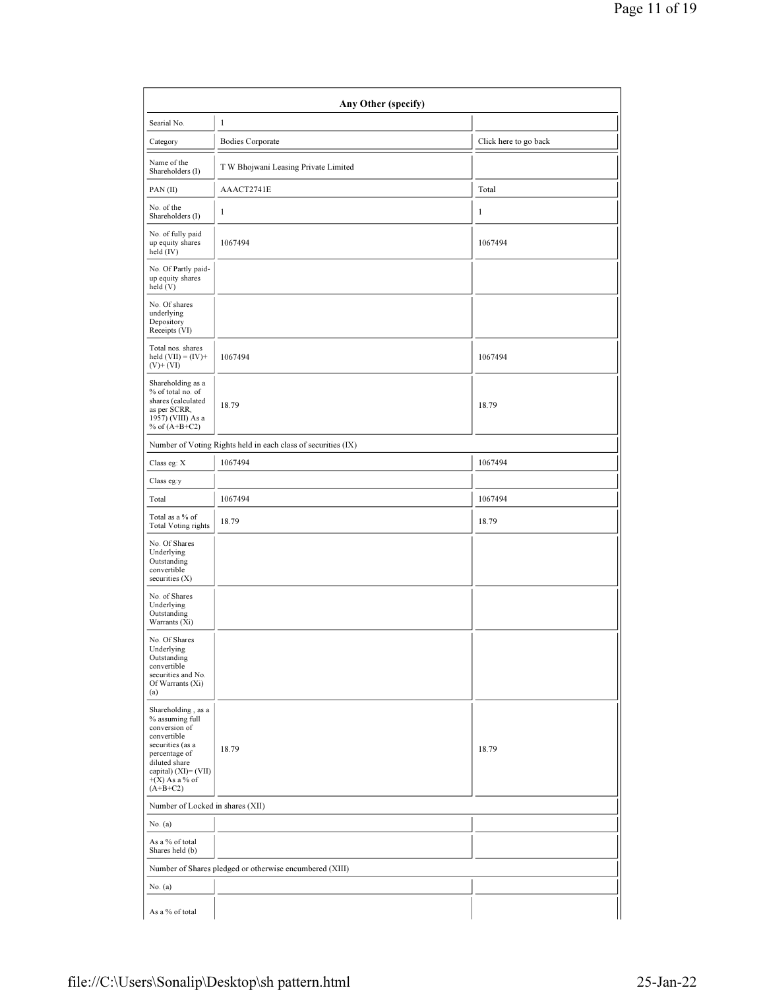|                                                                                                                                                                                       | Any Other (specify)                                           |                       |
|---------------------------------------------------------------------------------------------------------------------------------------------------------------------------------------|---------------------------------------------------------------|-----------------------|
| Searial No.                                                                                                                                                                           | $\mathbf{1}$                                                  |                       |
| Category                                                                                                                                                                              | <b>Bodies Corporate</b>                                       | Click here to go back |
| Name of the<br>Shareholders (I)                                                                                                                                                       | T W Bhojwani Leasing Private Limited                          |                       |
| PAN(II)                                                                                                                                                                               | AAACT2741E                                                    | Total                 |
| No. of the<br>Shareholders (I)                                                                                                                                                        | $\mathbf{1}$                                                  | 1                     |
| No. of fully paid<br>up equity shares<br>held (IV)                                                                                                                                    | 1067494                                                       | 1067494               |
| No. Of Partly paid-<br>up equity shares<br>held(V)                                                                                                                                    |                                                               |                       |
| No. Of shares<br>underlying<br>Depository<br>Receipts (VI)                                                                                                                            |                                                               |                       |
| Total nos. shares<br>held $(VII) = (IV) +$<br>$(V)+(VI)$                                                                                                                              | 1067494                                                       | 1067494               |
| Shareholding as a<br>% of total no. of<br>shares (calculated<br>as per SCRR,<br>1957) (VIII) As a<br>% of $(A+B+C2)$                                                                  | 18.79                                                         | 18.79                 |
|                                                                                                                                                                                       | Number of Voting Rights held in each class of securities (IX) |                       |
| Class eg: X                                                                                                                                                                           | 1067494                                                       | 1067494               |
| Class eg:y                                                                                                                                                                            |                                                               |                       |
| Total                                                                                                                                                                                 | 1067494                                                       | 1067494               |
| Total as a % of<br>Total Voting rights                                                                                                                                                | 18.79                                                         | 18.79                 |
| No. Of Shares<br>Underlying<br>Outstanding<br>convertible<br>securities (X)                                                                                                           |                                                               |                       |
| No. of Shares<br>Underlying<br>Outstanding<br>Warrants (Xi)                                                                                                                           |                                                               |                       |
| No. Of Shares<br>Underlying<br>Outstanding<br>convertible<br>securities and No.<br>Of Warrants (Xi)<br>(a)                                                                            |                                                               |                       |
| Shareholding, as a<br>% assuming full<br>conversion of<br>convertible<br>securities (as a<br>percentage of<br>diluted share<br>capital) (XI)= (VII)<br>$+(X)$ As a % of<br>$(A+B+C2)$ | 18.79                                                         | 18.79                 |
| Number of Locked in shares (XII)                                                                                                                                                      |                                                               |                       |
| No. (a)                                                                                                                                                                               |                                                               |                       |
| As a % of total<br>Shares held (b)                                                                                                                                                    |                                                               |                       |
|                                                                                                                                                                                       | Number of Shares pledged or otherwise encumbered (XIII)       |                       |
| No. (a)                                                                                                                                                                               |                                                               |                       |
| As a % of total                                                                                                                                                                       |                                                               |                       |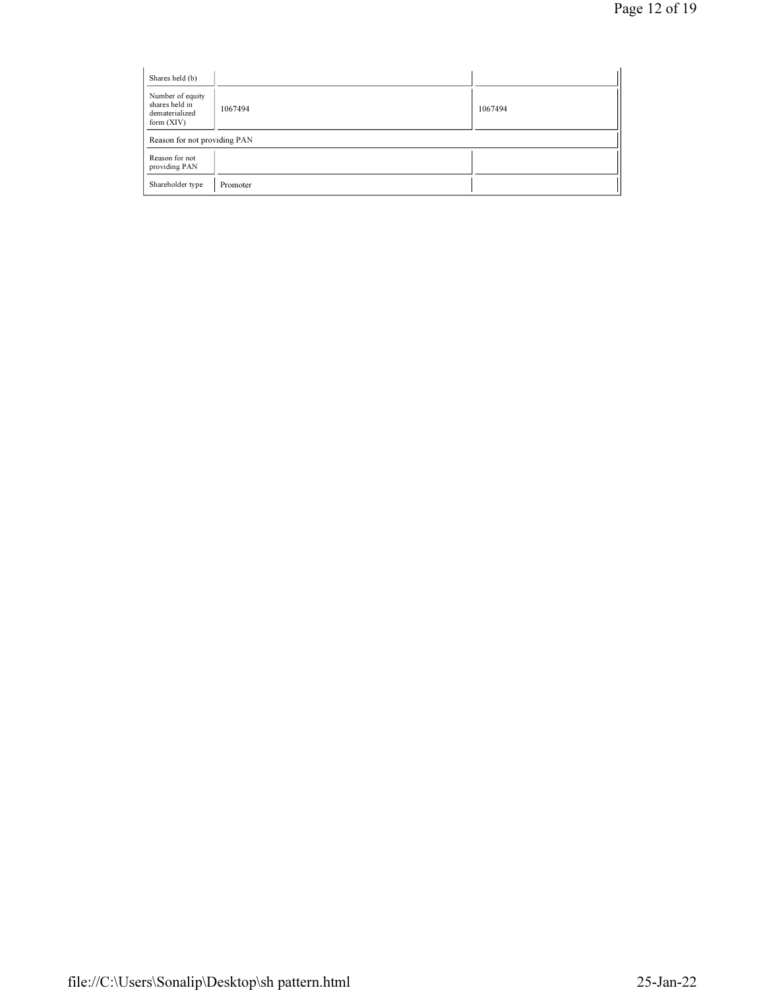| Shares held (b)                                                      |         |         |
|----------------------------------------------------------------------|---------|---------|
| Number of equity<br>shares held in<br>dematerialized<br>form $(XIV)$ | 1067494 | 1067494 |
|                                                                      |         |         |
| Reason for not providing PAN                                         |         |         |
| Reason for not<br>providing PAN                                      |         |         |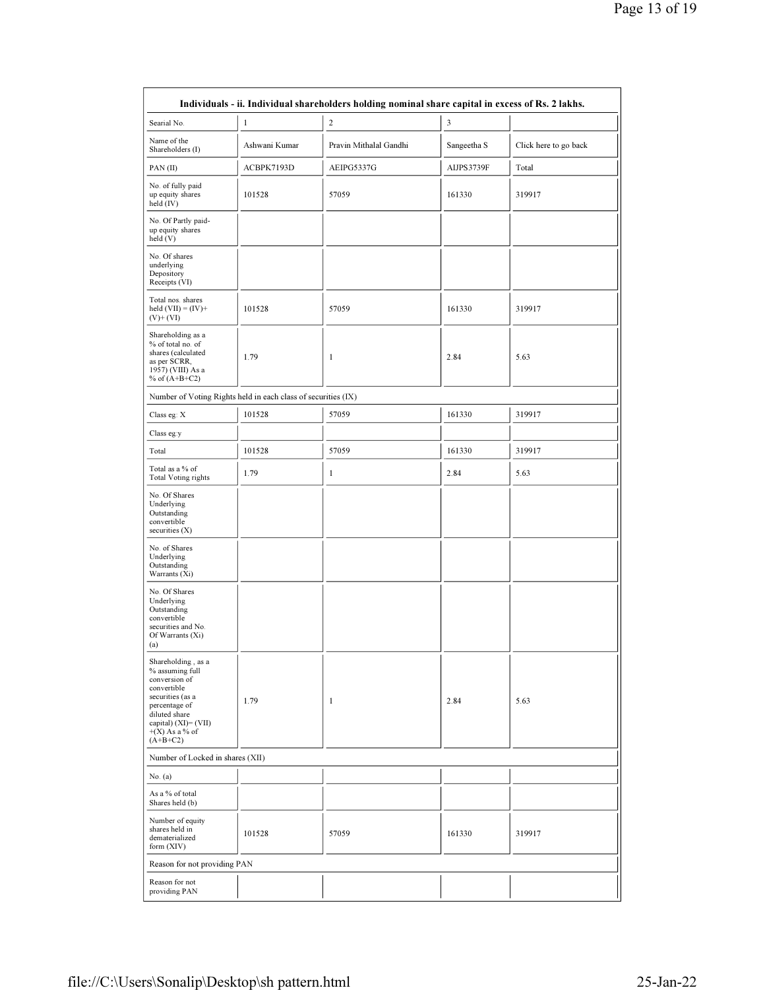|                                                                                                                                                                                       |               | Individuals - ii. Individual shareholders holding nominal share capital in excess of Rs. 2 lakhs. |             |                       |
|---------------------------------------------------------------------------------------------------------------------------------------------------------------------------------------|---------------|---------------------------------------------------------------------------------------------------|-------------|-----------------------|
| Searial No.                                                                                                                                                                           | $\mathbf{1}$  | $\overline{c}$                                                                                    | 3           |                       |
| Name of the<br>Shareholders (I)                                                                                                                                                       | Ashwani Kumar | Pravin Mithalal Gandhi                                                                            | Sangeetha S | Click here to go back |
| PAN(II)                                                                                                                                                                               | ACBPK7193D    | AEIPG5337G                                                                                        | AIJPS3739F  | Total                 |
| No. of fully paid<br>up equity shares<br>held (IV)                                                                                                                                    | 101528        | 57059                                                                                             | 161330      | 319917                |
| No. Of Partly paid-<br>up equity shares<br>held(V)                                                                                                                                    |               |                                                                                                   |             |                       |
| No. Of shares<br>underlying<br>Depository<br>Receipts (VI)                                                                                                                            |               |                                                                                                   |             |                       |
| Total nos. shares<br>held $(VII) = (IV) +$<br>$(V)+(VI)$                                                                                                                              | 101528        | 57059                                                                                             | 161330      | 319917                |
| Shareholding as a<br>% of total no. of<br>shares (calculated<br>as per SCRR.<br>1957) (VIII) As a<br>% of $(A+B+C2)$                                                                  | 1.79          | $\mathbf{1}$                                                                                      | 2.84        | 5.63                  |
| Number of Voting Rights held in each class of securities (IX)                                                                                                                         |               |                                                                                                   |             |                       |
| Class eg: X                                                                                                                                                                           | 101528        | 57059                                                                                             | 161330      | 319917                |
| Class eg:y                                                                                                                                                                            |               |                                                                                                   |             |                       |
| Total                                                                                                                                                                                 | 101528        | 57059                                                                                             | 161330      | 319917                |
| Total as a % of<br><b>Total Voting rights</b>                                                                                                                                         | 1.79          | 1                                                                                                 | 2.84        | 5.63                  |
| No. Of Shares<br>Underlying<br>Outstanding<br>convertible<br>securities $(X)$                                                                                                         |               |                                                                                                   |             |                       |
| No. of Shares<br>Underlying<br>Outstanding<br>Warrants (Xi)                                                                                                                           |               |                                                                                                   |             |                       |
| No. Of Shares<br>Underlying<br>Outstanding<br>convertible<br>securities and No.<br>Of Warrants $(Xi)$<br>(a)                                                                          |               |                                                                                                   |             |                       |
| Shareholding, as a<br>% assuming full<br>conversion of<br>convertible<br>securities (as a<br>percentage of<br>diluted share<br>capital) (XI)= (VII)<br>$+(X)$ As a % of<br>$(A+B+C2)$ | 1.79          | $\mathbf{1}$                                                                                      | 2.84        | 5.63                  |
| Number of Locked in shares (XII)                                                                                                                                                      |               |                                                                                                   |             |                       |
| No. (a)                                                                                                                                                                               |               |                                                                                                   |             |                       |
| As a % of total<br>Shares held (b)                                                                                                                                                    |               |                                                                                                   |             |                       |
| Number of equity<br>shares held in<br>dematerialized<br>form (XIV)                                                                                                                    | 101528        | 57059                                                                                             | 161330      | 319917                |
| Reason for not providing PAN                                                                                                                                                          |               |                                                                                                   |             |                       |
| Reason for not<br>providing PAN                                                                                                                                                       |               |                                                                                                   |             |                       |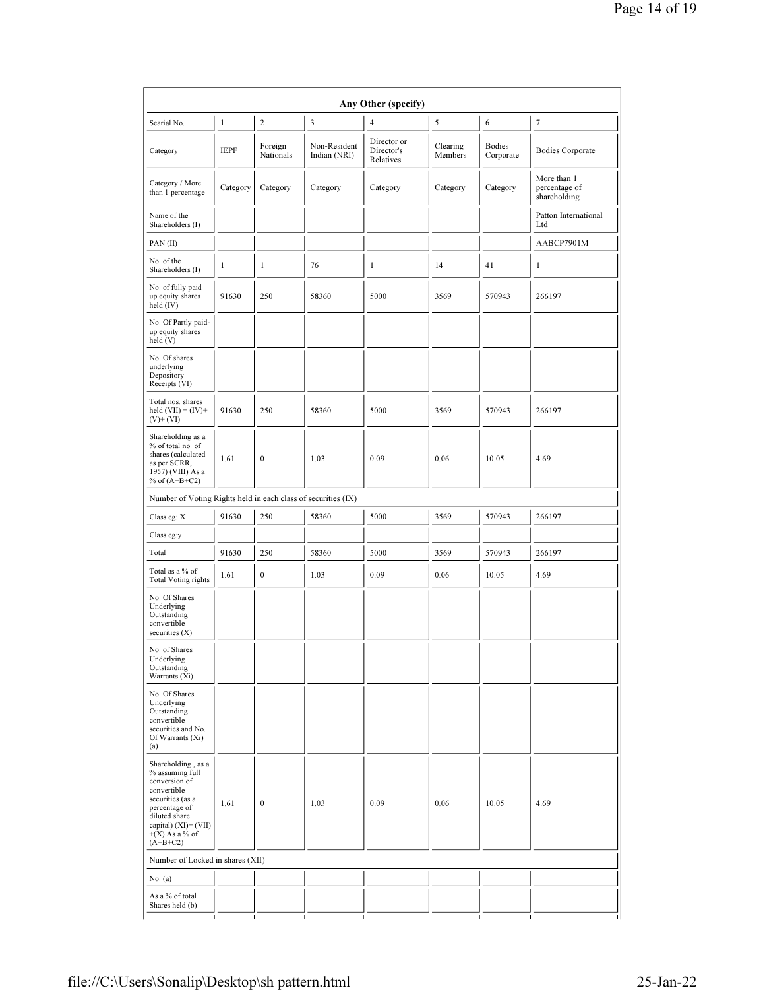|                                                                                                                                                                                       | Any Other (specify) |                      |                              |                                        |                     |                     |                                              |  |  |  |  |
|---------------------------------------------------------------------------------------------------------------------------------------------------------------------------------------|---------------------|----------------------|------------------------------|----------------------------------------|---------------------|---------------------|----------------------------------------------|--|--|--|--|
| Searial No.                                                                                                                                                                           | $7\phantom{.0}$     |                      |                              |                                        |                     |                     |                                              |  |  |  |  |
| Category                                                                                                                                                                              | <b>IEPF</b>         | Foreign<br>Nationals | Non-Resident<br>Indian (NRI) | Director or<br>Director's<br>Relatives | Clearing<br>Members | Bodies<br>Corporate | <b>Bodies Corporate</b>                      |  |  |  |  |
| Category / More<br>than 1 percentage                                                                                                                                                  | Category            | Category             | Category                     | Category                               | Category            | Category            | More than 1<br>percentage of<br>shareholding |  |  |  |  |
| Name of the<br>Shareholders (I)                                                                                                                                                       |                     |                      |                              |                                        |                     |                     | Patton International<br>Ltd                  |  |  |  |  |
| PAN(II)                                                                                                                                                                               |                     |                      |                              |                                        |                     |                     | AABCP7901M                                   |  |  |  |  |
| No. of the<br>Shareholders (I)                                                                                                                                                        | $\mathbf{1}$        | 1                    | 76                           | 1                                      | 14                  | 41                  | 1                                            |  |  |  |  |
| No. of fully paid<br>up equity shares<br>held $(IV)$                                                                                                                                  | 91630               | 250                  | 58360                        | 5000                                   | 3569                | 570943              | 266197                                       |  |  |  |  |
| No. Of Partly paid-<br>up equity shares<br>held (V)                                                                                                                                   |                     |                      |                              |                                        |                     |                     |                                              |  |  |  |  |
| No. Of shares<br>underlying<br>Depository<br>Receipts (VI)                                                                                                                            |                     |                      |                              |                                        |                     |                     |                                              |  |  |  |  |
| Total nos. shares<br>held $(VII) = (IV) +$<br>$(V)+(VI)$                                                                                                                              | 91630               | 250                  | 58360                        | 5000                                   | 3569                | 570943              | 266197                                       |  |  |  |  |
| Shareholding as a<br>% of total no. of<br>shares (calculated<br>as per SCRR,<br>1957) (VIII) As a<br>% of $(A+B+C2)$                                                                  | 1.61                | $\mathbf{0}$         | 1.03                         | 0.09                                   | 0.06                | 10.05               | 4.69                                         |  |  |  |  |
| Number of Voting Rights held in each class of securities (IX)                                                                                                                         |                     |                      |                              |                                        |                     |                     |                                              |  |  |  |  |
| Class eg: X                                                                                                                                                                           | 91630               | 250                  | 58360                        | 5000                                   | 3569                | 570943              | 266197                                       |  |  |  |  |
| Class eg:y                                                                                                                                                                            |                     |                      |                              |                                        |                     |                     |                                              |  |  |  |  |
| Total                                                                                                                                                                                 | 91630               | 250                  | 58360                        | 5000                                   | 3569                | 570943              | 266197                                       |  |  |  |  |
| Total as a % of<br>Total Voting rights                                                                                                                                                | 1.61                | $\boldsymbol{0}$     | 1.03                         | 0.09                                   | 0.06                | 10.05               | 4.69                                         |  |  |  |  |
| No. Of Shares<br>Underlying<br>Outstanding<br>convertible<br>securities $(X)$                                                                                                         |                     |                      |                              |                                        |                     |                     |                                              |  |  |  |  |
| No. of Shares<br>Underlying<br>Outstanding<br>Warrants (Xi)                                                                                                                           |                     |                      |                              |                                        |                     |                     |                                              |  |  |  |  |
| No. Of Shares<br>Underlying<br>Outstanding<br>convertible<br>securities and No.<br>Of Warrants (Xi)<br>(a)                                                                            |                     |                      |                              |                                        |                     |                     |                                              |  |  |  |  |
| Shareholding, as a<br>% assuming full<br>conversion of<br>convertible<br>securities (as a<br>percentage of<br>diluted share<br>capital) (XI)= (VII)<br>$+(X)$ As a % of<br>$(A+B+C2)$ | 1.61                | $\boldsymbol{0}$     | 1.03                         | 0.09                                   | 0.06                | 10.05               | 4.69                                         |  |  |  |  |
| Number of Locked in shares (XII)                                                                                                                                                      |                     |                      |                              |                                        |                     |                     |                                              |  |  |  |  |
| No. $(a)$                                                                                                                                                                             |                     |                      |                              |                                        |                     |                     |                                              |  |  |  |  |
| As a % of total<br>Shares held (b)                                                                                                                                                    | $\mathbf{L}$        | $\mathbf{I}$         | $\mathbf I$                  | $\mathbf{I}$                           | $\mathbf{I}$        | $\blacksquare$      | $\mathbf I$<br>$\mathbf{I}$                  |  |  |  |  |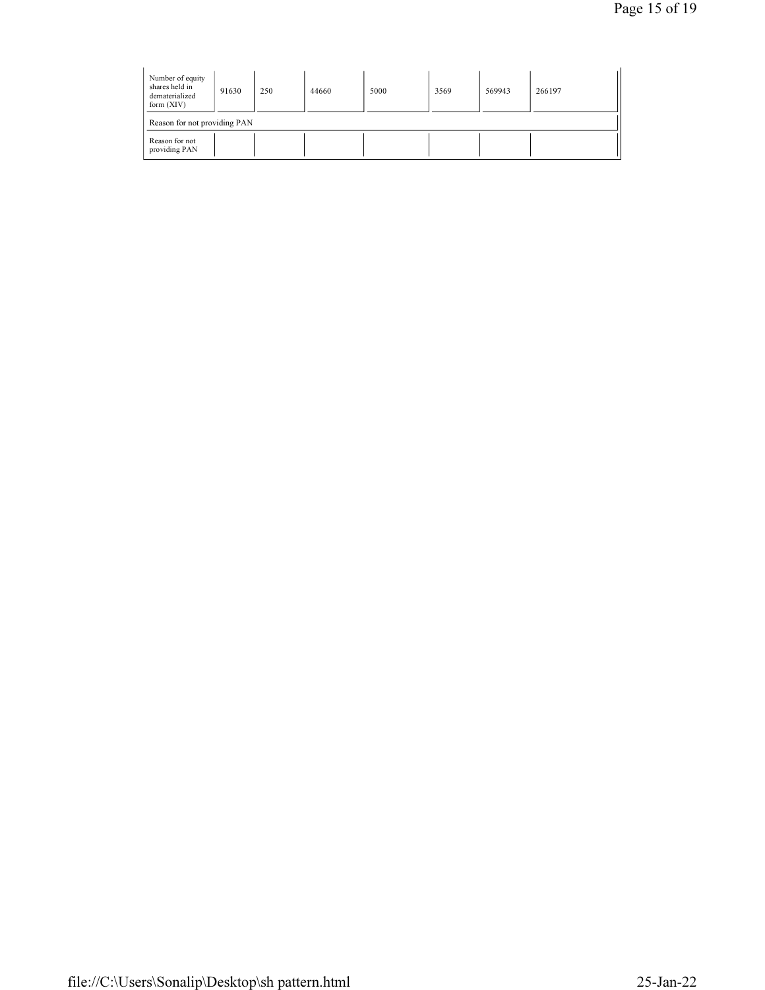| Number of equity<br>shares held in<br>dematerialized<br>form $(XIV)$ | 91630 | 250 | 44660 | 5000 | 3569 | 569943 | 266197 |
|----------------------------------------------------------------------|-------|-----|-------|------|------|--------|--------|
| Reason for not providing PAN                                         |       |     |       |      |      |        |        |
| Reason for not<br>providing PAN                                      |       |     |       |      |      |        |        |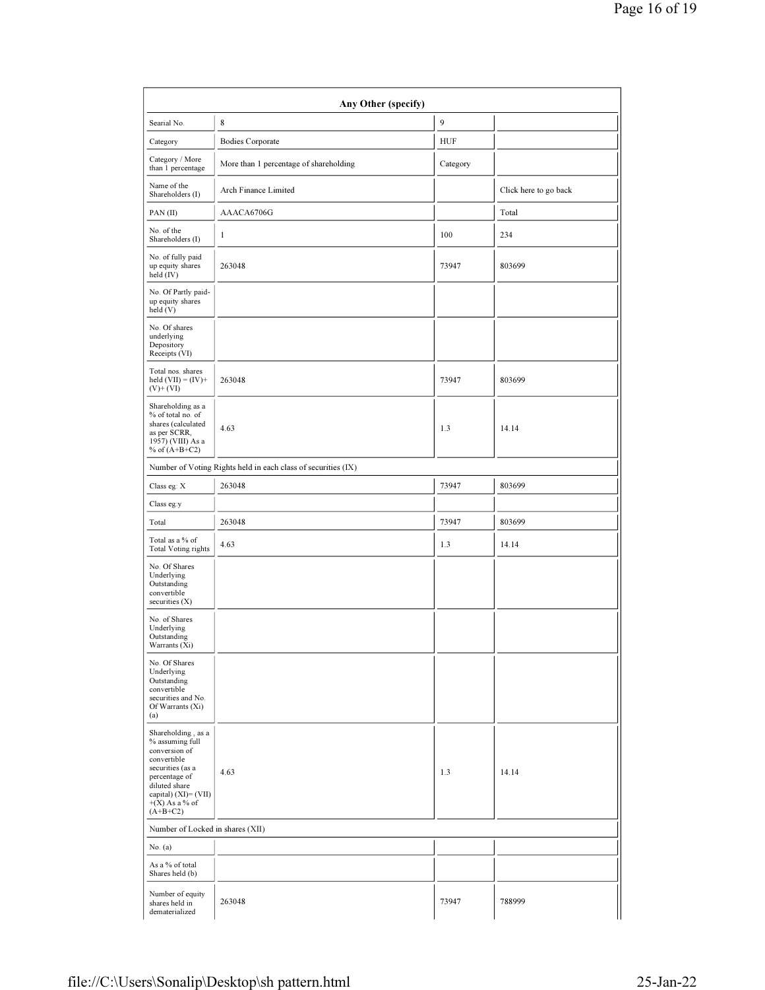|                                                                                                                                                                                          | Any Other (specify)                                           |          |                       |
|------------------------------------------------------------------------------------------------------------------------------------------------------------------------------------------|---------------------------------------------------------------|----------|-----------------------|
| Searial No.                                                                                                                                                                              | 8                                                             | 9        |                       |
| Category                                                                                                                                                                                 | <b>Bodies Corporate</b>                                       | HUF      |                       |
| Category / More<br>than 1 percentage                                                                                                                                                     | More than 1 percentage of shareholding                        | Category |                       |
| Name of the<br>Shareholders (I)                                                                                                                                                          | Arch Finance Limited                                          |          | Click here to go back |
| PAN(II)                                                                                                                                                                                  | AAACA6706G                                                    |          | Total                 |
| No. of the<br>Shareholders (I)                                                                                                                                                           | $\mathbf{1}$                                                  | 100      | 234                   |
| No. of fully paid<br>up equity shares<br>held (IV)                                                                                                                                       | 263048                                                        | 73947    | 803699                |
| No. Of Partly paid-<br>up equity shares<br>held (V)                                                                                                                                      |                                                               |          |                       |
| No. Of shares<br>underlying<br>Depository<br>Receipts (VI)                                                                                                                               |                                                               |          |                       |
| Total nos. shares<br>held $(VII) = (IV) +$<br>$(V)+(VI)$                                                                                                                                 | 263048                                                        | 73947    | 803699                |
| Shareholding as a<br>% of total no. of<br>shares (calculated<br>as per SCRR,<br>1957) (VIII) As a<br>% of $(A+B+C2)$                                                                     | 4.63                                                          | 1.3      | 14.14                 |
|                                                                                                                                                                                          | Number of Voting Rights held in each class of securities (IX) |          |                       |
| Class eg: X                                                                                                                                                                              | 263048                                                        | 73947    | 803699                |
| Class eg:y                                                                                                                                                                               |                                                               |          |                       |
| Total                                                                                                                                                                                    | 263048                                                        | 73947    | 803699                |
| Total as a % of<br>Total Voting rights                                                                                                                                                   | 4.63                                                          | 1.3      | 14.14                 |
| No. Of Shares<br>Underlying<br>Outstanding<br>convertible<br>securities (X)                                                                                                              |                                                               |          |                       |
| No. of Shares<br>Underlying<br>Outstanding<br>Warrants (Xi)                                                                                                                              |                                                               |          |                       |
| No. Of Shares<br>Underlying<br>Outstanding<br>convertible<br>securities and No.<br>Of Warrants (Xi)<br>(a)                                                                               |                                                               |          |                       |
| Shareholding, as a<br>% assuming full<br>conversion of<br>convertible<br>securities (as a<br>percentage of<br>diluted share<br>capital) $(XI) = (VII)$<br>$+(X)$ As a % of<br>$(A+B+C2)$ | 4.63                                                          | 1.3      | 14.14                 |
| Number of Locked in shares (XII)                                                                                                                                                         |                                                               |          |                       |
| No. $(a)$                                                                                                                                                                                |                                                               |          |                       |
| As a % of total<br>Shares held (b)                                                                                                                                                       |                                                               |          |                       |
| Number of equity<br>shares held in<br>dematerialized                                                                                                                                     | 263048                                                        | 73947    | 788999                |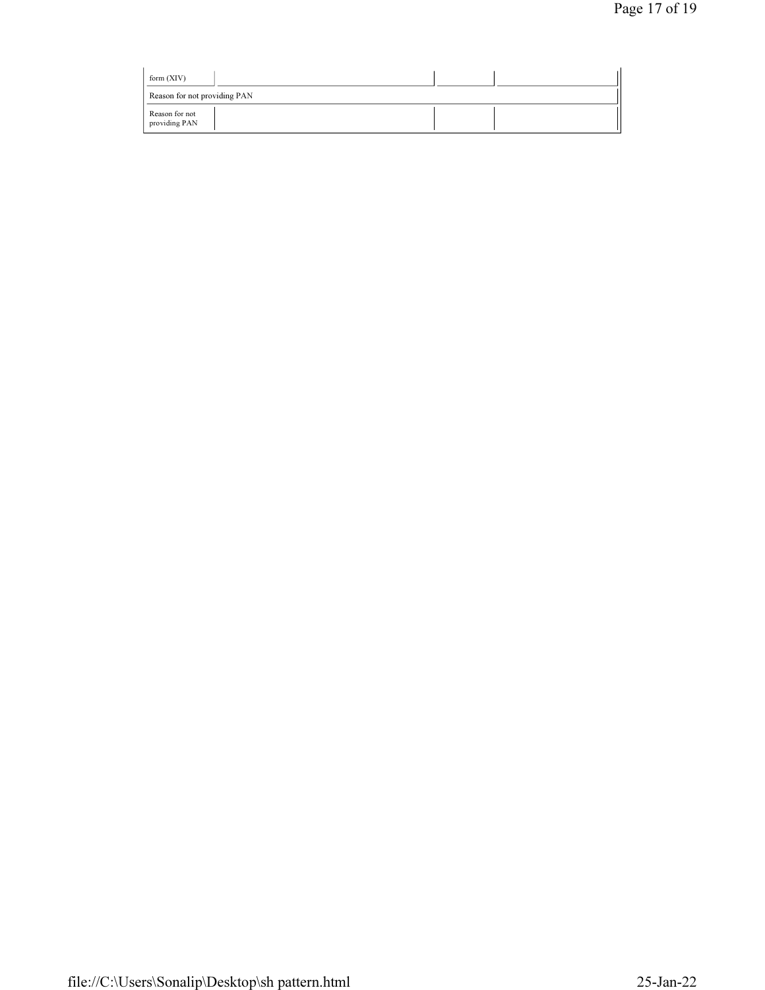| form $(XIV)$                    |  |  |
|---------------------------------|--|--|
| Reason for not providing PAN    |  |  |
| Reason for not<br>providing PAN |  |  |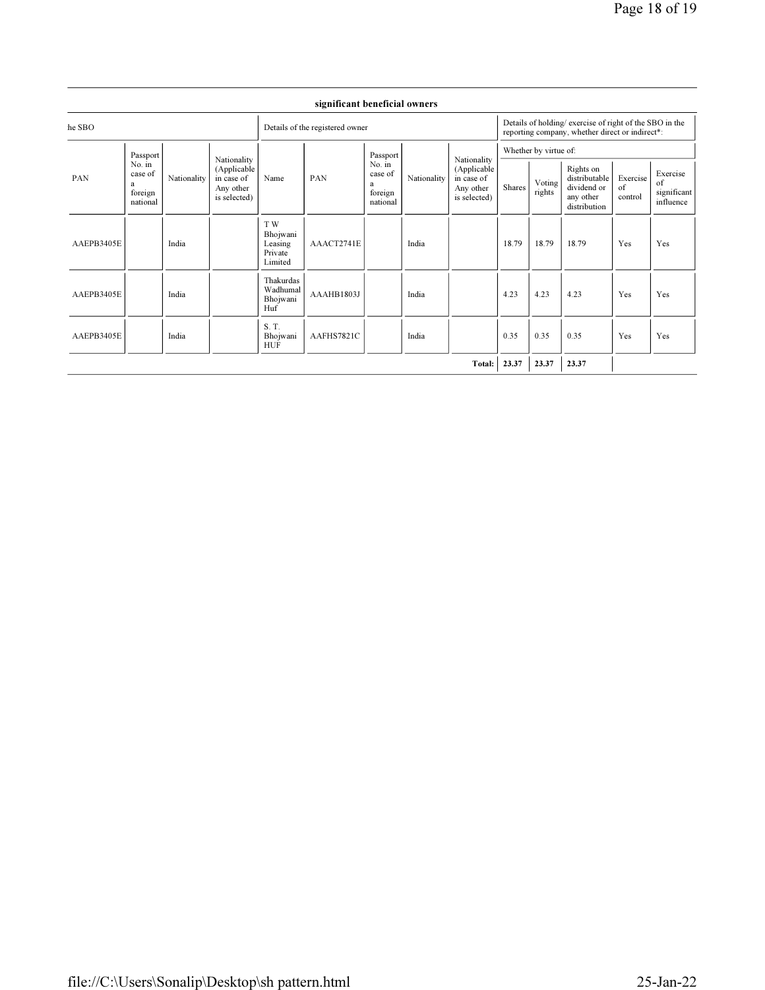| he SBO     |                                               |             | Details of the registered owner                                       |                                                 |            |                                               | Details of holding/exercise of right of the SBO in the<br>reporting company, whether direct or indirect*: |                                                                       |        |                  |                                                                        |                                   |                                            |
|------------|-----------------------------------------------|-------------|-----------------------------------------------------------------------|-------------------------------------------------|------------|-----------------------------------------------|-----------------------------------------------------------------------------------------------------------|-----------------------------------------------------------------------|--------|------------------|------------------------------------------------------------------------|-----------------------------------|--------------------------------------------|
| Passport   |                                               |             |                                                                       | Passport                                        |            |                                               | Whether by virtue of:                                                                                     |                                                                       |        |                  |                                                                        |                                   |                                            |
| PAN        | No. in<br>case of<br>a<br>foreign<br>national | Nationality | Nationality<br>(Applicable<br>in case of<br>Any other<br>is selected) | Name                                            | PAN        | No. in<br>case of<br>a<br>foreign<br>national | Nationality                                                                                               | Nationality<br>(Applicable<br>in case of<br>Any other<br>is selected) | Shares | Voting<br>rights | Rights on<br>distributable<br>dividend or<br>any other<br>distribution | Exercise<br>$\alpha$ f<br>control | Exercise<br>of<br>significant<br>influence |
| AAEPB3405E |                                               | India       |                                                                       | TW<br>Bhojwani<br>Leasing<br>Private<br>Limited | AAACT2741E |                                               | India                                                                                                     |                                                                       | 18.79  | 18.79            | 18.79                                                                  | Yes                               | Yes                                        |
| AAEPB3405E |                                               | India       |                                                                       | Thakurdas<br>Wadhumal<br>Bhojwani<br>Huf        | AAAHB1803J |                                               | India                                                                                                     |                                                                       | 4.23   | 4.23             | 4.23                                                                   | Yes                               | Yes                                        |
| AAEPB3405E |                                               | India       |                                                                       | S. T.<br>Bhojwani<br><b>HUF</b>                 | AAFHS7821C |                                               | India                                                                                                     |                                                                       | 0.35   | 0.35             | 0.35                                                                   | Yes                               | Yes                                        |
|            |                                               |             |                                                                       |                                                 |            |                                               |                                                                                                           | Total:                                                                | 23.37  | 23.37            | 23.37                                                                  |                                   |                                            |